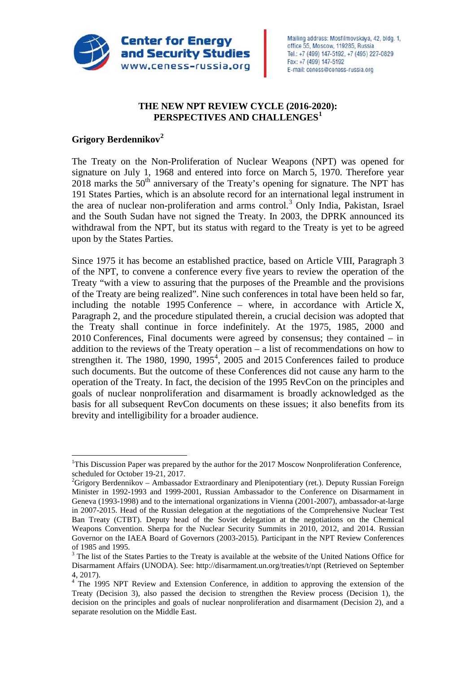

### **THE NEW NPT REVIEW CYCLE (2016-2020): PERSPECTIVES AND CHALLENGES[1](#page-0-0)**

### **Grigory Berdennikov[2](#page-0-1)**

The Treaty on the Non-Proliferation of Nuclear Weapons (NPT) was opened for signature on July 1, 1968 and entered into force on March 5, 1970. Therefore year  $2018$  marks the  $50<sup>th</sup>$  anniversary of the Treaty's opening for signature. The NPT has 191 States Parties, which is an absolute record for an international legal instrument in the area of nuclear non-proliferation and arms control.<sup>[3](#page-0-2)</sup> Only India, Pakistan, Israel and the South Sudan have not signed the Treaty. In 2003, the DPRK announced its withdrawal from the NPT, but its status with regard to the Treaty is yet to be agreed upon by the States Parties.

Since 1975 it has become an established practice, based on Article VIII, Paragraph 3 of the NPT, to convene a conference every five years to review the operation of the Treaty "with a view to assuring that the purposes of the Preamble and the provisions of the Treaty are being realized". Nine such conferences in total have been held so far, including the notable 1995 Conference – where, in accordance with Article X, Paragraph 2, and the procedure stipulated therein, a crucial decision was adopted that the Treaty shall continue in force indefinitely. At the 1975, 1985, 2000 and 2010 Conferences, Final documents were agreed by consensus; they contained – in addition to the reviews of the Treaty operation – a list of recommendations on how to strengthen it. The 1980, 1990, 1995 $^4$  $^4$ , 2005 and 2015 Conferences failed to produce such documents. But the outcome of these Conferences did not cause any harm to the operation of the Treaty. In fact, the decision of the 1995 RevCon on the principles and goals of nuclear nonproliferation and disarmament is broadly acknowledged as the basis for all subsequent RevCon documents on these issues; it also benefits from its brevity and intelligibility for a broader audience.

<span id="page-0-0"></span> $\frac{1}{1}$ <sup>1</sup>This Discussion Paper was prepared by the author for the 2017 Moscow Nonproliferation Conference, scheduled for October 19-21, 2017. <sup>2</sup>

<span id="page-0-1"></span> $^{2}$ Grigory Berdennikov – Ambassador Extraordinary and Plenipotentiary (ret.). Deputy Russian Foreign Minister in 1992-1993 and 1999-2001, Russian Ambassador to the Conference on Disarmament in Geneva (1993-1998) and to the international organizations in Vienna (2001-2007), ambassador-at-large in 2007-2015. Head of the Russian delegation at the negotiations of the Comprehensive Nuclear Test Ban Treaty (CTBT). Deputy head of the Soviet delegation at the negotiations on the Chemical Weapons Convention. Sherpa for the Nuclear Security Summits in 2010, 2012, and 2014. Russian Governor on the IAEA Board of Governors (2003-2015). Participant in the NPT Review Conferences

<span id="page-0-2"></span>of 1985 and 1995.<br> $3$  The list of the States Parties to the Treaty is available at the website of the United Nations Office for Disarmament Affairs (UNODA). See: http://disarmament.un.org/treaties/t/npt (Retrieved on September 4, 2017).

<span id="page-0-3"></span><sup>&</sup>lt;sup>4</sup> The 1995 NPT Review and Extension Conference, in addition to approving the extension of the Treaty (Decision 3), also passed the decision to strengthen the Review process (Decision 1), the decision on the principles and goals of nuclear nonproliferation and disarmament (Decision 2), and a separate resolution on the Middle East.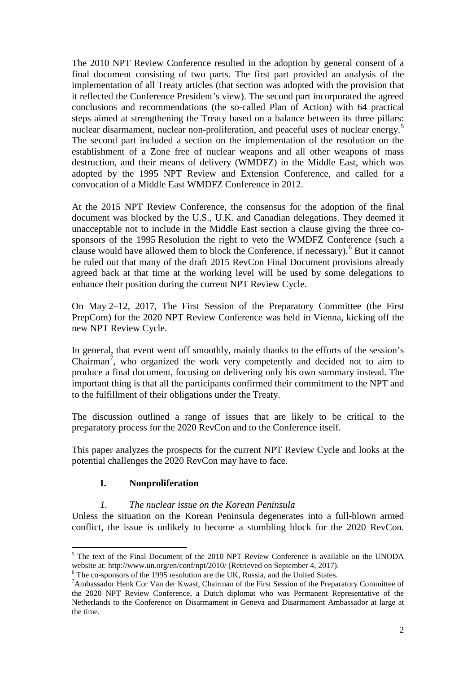The 2010 NPT Review Conference resulted in the adoption by general consent of a final document consisting of two parts. The first part provided an analysis of the implementation of all Treaty articles (that section was adopted with the provision that it reflected the Conference President's view). The second part incorporated the agreed conclusions and recommendations (the so-called Plan of Action) with 64 practical steps aimed at strengthening the Treaty based on a balance between its three pillars: nuclear disarmament, nuclear non-proliferation, and peaceful uses of nuclear energy.<sup>[5](#page-1-0)</sup> The second part included a section on the implementation of the resolution on the establishment of a Zone free of nuclear weapons and all other weapons of mass destruction, and their means of delivery (WMDFZ) in the Middle East, which was adopted by the 1995 NPT Review and Extension Conference, and called for a convocation of a Middle East WMDFZ Conference in 2012.

At the 2015 NPT Review Conference, the consensus for the adoption of the final document was blocked by the U.S., U.K. and Canadian delegations. They deemed it unacceptable not to include in the Middle East section a clause giving the three cosponsors of the 1995 Resolution the right to veto the WMDFZ Conference (such a clause would have allowed them to block the Conference, if necessary).<sup>[6](#page-1-1)</sup> But it cannot be ruled out that many of the draft 2015 RevCon Final Document provisions already agreed back at that time at the working level will be used by some delegations to enhance their position during the current NPT Review Cycle.

On May 2–12, 2017, The First Session of the Preparatory Committee (the First PrepCom) for the 2020 NPT Review Conference was held in Vienna, kicking off the new NPT Review Cycle.

In general, that event went off smoothly, mainly thanks to the efforts of the session's Chairman<sup>[7](#page-1-2)</sup>, who organized the work very competently and decided not to aim to produce a final document, focusing on delivering only his own summary instead. The important thing is that all the participants confirmed their commitment to the NPT and to the fulfillment of their obligations under the Treaty.

The discussion outlined a range of issues that are likely to be critical to the preparatory process for the 2020 RevCon and to the Conference itself.

This paper analyzes the prospects for the current NPT Review Cycle and looks at the potential challenges the 2020 RevCon may have to face.

# **I. Nonproliferation**

### *1. The nuclear issue on the Korean Peninsula*

Unless the situation on the Korean Peninsula degenerates into a full-blown armed conflict, the issue is unlikely to become a stumbling block for the 2020 RevCon.

<span id="page-1-0"></span><sup>&</sup>lt;sup>5</sup> The text of the Final Document of the 2010 NPT Review Conference is available on the UNODA website at: http://www.un.org/en/conf/npt/2010/ (Retrieved on September 4, 2017).

<span id="page-1-1"></span> $\overline{6}$  The co-sponsors of the 1995 resolution are the UK, Russia, and the United States.

<span id="page-1-2"></span>Ambassador Henk Cor Van der Kwast*,* Chairman of the First Session of the Preparatory Committee of the 2020 NPT Review Conference, a Dutch diplomat who was Permanent Representative of the Netherlands to the Conference on Disarmament in Geneva and Disarmament Ambassador at large at the time.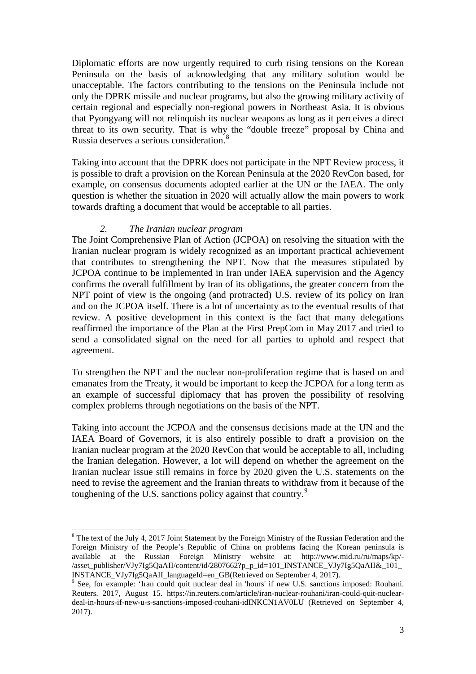Diplomatic efforts are now urgently required to curb rising tensions on the Korean Peninsula on the basis of acknowledging that any military solution would be unacceptable. The factors contributing to the tensions on the Peninsula include not only the DPRK missile and nuclear programs, but also the growing military activity of certain regional and especially non-regional powers in Northeast Asia. It is obvious that Pyongyang will not relinquish its nuclear weapons as long as it perceives a direct threat to its own security. That is why the "double freeze" proposal by China and Russia deserves a serious consideration.[8](#page-2-0)

Taking into account that the DPRK does not participate in the NPT Review process, it is possible to draft a provision on the Korean Peninsula at the 2020 RevCon based, for example, on consensus documents adopted earlier at the UN or the IAEA. The only question is whether the situation in 2020 will actually allow the main powers to work towards drafting a document that would be acceptable to all parties.

#### *2. The Iranian nuclear program*

The Joint Comprehensive Plan of Action (JCPOA) on resolving the situation with the Iranian nuclear program is widely recognized as an important practical achievement that contributes to strengthening the NPT. Now that the measures stipulated by JCPOA continue to be implemented in Iran under IAEA supervision and the Agency confirms the overall fulfillment by Iran of its obligations, the greater concern from the NPT point of view is the ongoing (and protracted) U.S. review of its policy on Iran and on the JCPOA itself. There is a lot of uncertainty as to the eventual results of that review. A positive development in this context is the fact that many delegations reaffirmed the importance of the Plan at the First PrepCom in May 2017 and tried to send a consolidated signal on the need for all parties to uphold and respect that agreement.

To strengthen the NPT and the nuclear non-proliferation regime that is based on and emanates from the Treaty, it would be important to keep the JCPOA for a long term as an example of successful diplomacy that has proven the possibility of resolving complex problems through negotiations on the basis of the NPT.

Taking into account the JCPOA and the consensus decisions made at the UN and the IAEA Board of Governors, it is also entirely possible to draft a provision on the Iranian nuclear program at the 2020 RevCon that would be acceptable to all, including the Iranian delegation. However, a lot will depend on whether the agreement on the Iranian nuclear issue still remains in force by 2020 given the U.S. statements on the need to revise the agreement and the Iranian threats to withdraw from it because of the toughening of the U.S. sanctions policy against that country.<sup>[9](#page-2-1)</sup>

<span id="page-2-0"></span><sup>&</sup>lt;sup>8</sup> The text of the July 4, 2017 Joint Statement by the Foreign Ministry of the Russian Federation and the Foreign Ministry of the People's Republic of China on problems facing the Korean peninsula is available at the Russian Foreign Ministry website at: http://www.mid.ru/ru/maps/kp/- /asset\_publisher/VJy7Ig5QaAII/content/id/2807662?p\_p\_id=101\_INSTANCE\_VJy7Ig5QaAII&\_101\_ INSTANCE\_VJy7Ig5QaAII\_languageId=en\_GB(Retrieved on September 4, 2017).<br><sup>9</sup> See, for example: 'Iran could quit nuclear deal in 'hours' if new U.S. sanctions imposed: Rouhani.

<span id="page-2-1"></span>Reuters. 2017, August 15. https://in.reuters.com/article/iran-nuclear-rouhani/iran-could-quit-nucleardeal-in-hours-if-new-u-s-sanctions-imposed-rouhani-idINKCN1AV0LU (Retrieved on September 4, 2017).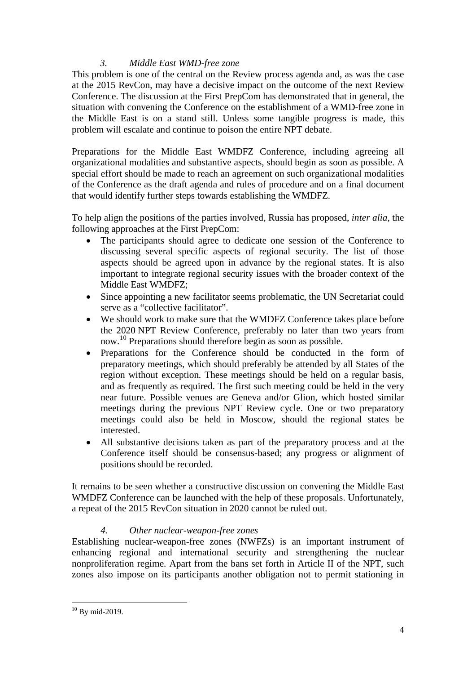## *3. Middle East WMD-free zone*

This problem is one of the central on the Review process agenda and, as was the case at the 2015 RevCon, may have a decisive impact on the outcome of the next Review Conference. The discussion at the First PrepCom has demonstrated that in general, the situation with convening the Conference on the establishment of a WMD-free zone in the Middle East is on a stand still. Unless some tangible progress is made, this problem will escalate and continue to poison the entire NPT debate.

Preparations for the Middle East WMDFZ Conference, including agreeing all organizational modalities and substantive aspects, should begin as soon as possible. A special effort should be made to reach an agreement on such organizational modalities of the Conference as the draft agenda and rules of procedure and on a final document that would identify further steps towards establishing the WMDFZ.

To help align the positions of the parties involved, Russia has proposed, *inter alia*, the following approaches at the First PrepCom:

- The participants should agree to dedicate one session of the Conference to discussing several specific aspects of regional security. The list of those aspects should be agreed upon in advance by the regional states. It is also important to integrate regional security issues with the broader context of the Middle East WMDFZ;
- Since appointing a new facilitator seems problematic, the UN Secretariat could serve as a "collective facilitator".
- We should work to make sure that the WMDFZ Conference takes place before the 2020 NPT Review Conference, preferably no later than two years from now.[10](#page-3-0) Preparations should therefore begin as soon as possible.
- Preparations for the Conference should be conducted in the form of preparatory meetings, which should preferably be attended by all States of the region without exception. These meetings should be held on a regular basis, and as frequently as required. The first such meeting could be held in the very near future. Possible venues are Geneva and/or Glion, which hosted similar meetings during the previous NPT Review cycle. One or two preparatory meetings could also be held in Moscow, should the regional states be interested.
- All substantive decisions taken as part of the preparatory process and at the Conference itself should be consensus-based; any progress or alignment of positions should be recorded.

It remains to be seen whether a constructive discussion on convening the Middle East WMDFZ Conference can be launched with the help of these proposals. Unfortunately, a repeat of the 2015 RevCon situation in 2020 cannot be ruled out.

### *4. Other nuclear-weapon-free zones*

Establishing nuclear-weapon-free zones (NWFZs) is an important instrument of enhancing regional and international security and strengthening the nuclear nonproliferation regime. Apart from the bans set forth in Article II of the NPT, such zones also impose on its participants another obligation not to permit stationing in

<span id="page-3-0"></span> $10$  By mid-2019.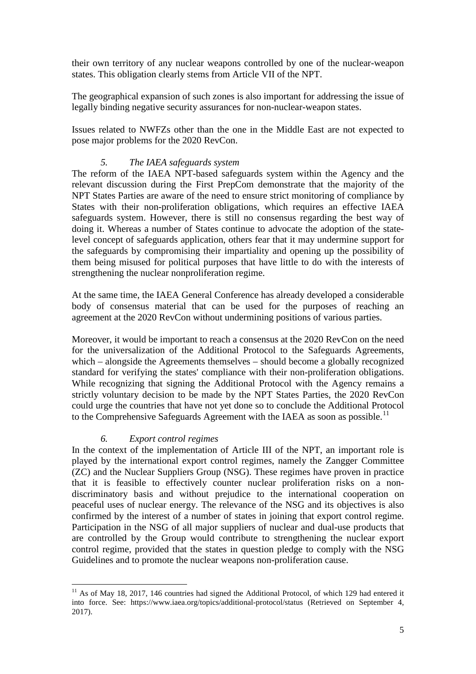their own territory of any nuclear weapons controlled by one of the nuclear-weapon states. This obligation clearly stems from Article VII of the NPT.

The geographical expansion of such zones is also important for addressing the issue of legally binding negative security assurances for non-nuclear-weapon states.

Issues related to NWFZs other than the one in the Middle East are not expected to pose major problems for the 2020 RevCon.

#### *5. The IAEA safeguards system*

The reform of the IAEA NPT-based safeguards system within the Agency and the relevant discussion during the First PrepCom demonstrate that the majority of the NPT States Parties are aware of the need to ensure strict monitoring of compliance by States with their non-proliferation obligations, which requires an effective IAEA safeguards system. However, there is still no consensus regarding the best way of doing it. Whereas a number of States continue to advocate the adoption of the statelevel concept of safeguards application, others fear that it may undermine support for the safeguards by compromising their impartiality and opening up the possibility of them being misused for political purposes that have little to do with the interests of strengthening the nuclear nonproliferation regime.

At the same time, the IAEA General Conference has already developed a considerable body of consensus material that can be used for the purposes of reaching an agreement at the 2020 RevCon without undermining positions of various parties.

Moreover, it would be important to reach a consensus at the 2020 RevCon on the need for the universalization of the Additional Protocol to the Safeguards Agreements, which – alongside the Agreements themselves – should become a globally recognized standard for verifying the states' compliance with their non-proliferation obligations. While recognizing that signing the Additional Protocol with the Agency remains a strictly voluntary decision to be made by the NPT States Parties, the 2020 RevCon could urge the countries that have not yet done so to conclude the Additional Protocol to the Comprehensive Safeguards Agreement with the IAEA as soon as possible.<sup>[11](#page-4-0)</sup>

#### *6. Export control regimes*

In the context of the implementation of Article III of the NPT, an important role is played by the international export control regimes, namely the Zangger Committee (ZC) and the Nuclear Suppliers Group (NSG). These regimes have proven in practice that it is feasible to effectively counter nuclear proliferation risks on a nondiscriminatory basis and without prejudice to the international cooperation on peaceful uses of nuclear energy. The relevance of the NSG and its objectives is also confirmed by the interest of a number of states in joining that export control regime. Participation in the NSG of all major suppliers of nuclear and dual-use products that are controlled by the Group would contribute to strengthening the nuclear export control regime, provided that the states in question pledge to comply with the NSG Guidelines and to promote the nuclear weapons non-proliferation cause.

<span id="page-4-0"></span> $11$  As of May 18, 2017, 146 countries had signed the Additional Protocol, of which 129 had entered it into force. See: https://www.iaea.org/topics/additional-protocol/status (Retrieved on September 4, 2017).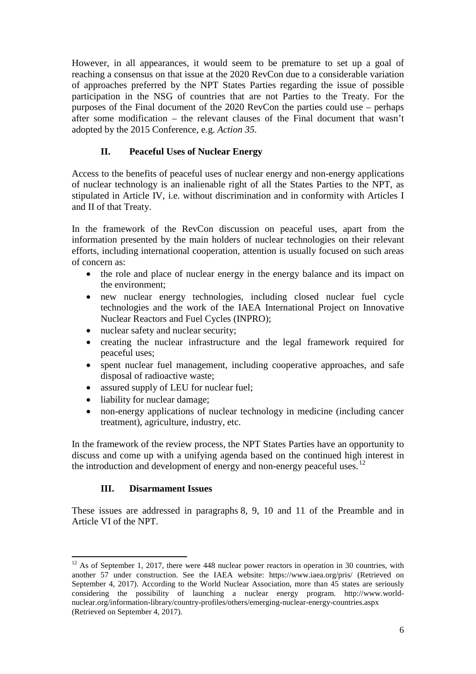However, in all appearances, it would seem to be premature to set up a goal of reaching a consensus on that issue at the 2020 RevCon due to a considerable variation of approaches preferred by the NPT States Parties regarding the issue of possible participation in the NSG of countries that are not Parties to the Treaty. For the purposes of the Final document of the 2020 RevCon the parties could use – perhaps after some modification – the relevant clauses of the Final document that wasn't adopted by the 2015 Conference, e.g. *Action 35*.

## **II. Peaceful Uses of Nuclear Energy**

Access to the benefits of peaceful uses of nuclear energy and non-energy applications of nuclear technology is an inalienable right of all the States Parties to the NPT, as stipulated in Article IV, i.e. without discrimination and in conformity with Articles I and II of that Treaty.

In the framework of the RevCon discussion on peaceful uses, apart from the information presented by the main holders of nuclear technologies on their relevant efforts, including international cooperation, attention is usually focused on such areas of concern as:

- the role and place of nuclear energy in the energy balance and its impact on the environment;
- new nuclear energy technologies, including closed nuclear fuel cycle technologies and the work of the IAEA International Project on Innovative Nuclear Reactors and Fuel Cycles (INPRO);
- nuclear safety and nuclear security;
- creating the nuclear infrastructure and the legal framework required for peaceful uses;
- spent nuclear fuel management, including cooperative approaches, and safe disposal of radioactive waste;
- assured supply of LEU for nuclear fuel;
- liability for nuclear damage;
- non-energy applications of nuclear technology in medicine (including cancer treatment), agriculture, industry, etc.

In the framework of the review process, the NPT States Parties have an opportunity to discuss and come up with a unifying agenda based on the continued high interest in the introduction and development of energy and non-energy peaceful uses. $^{12}$  $^{12}$  $^{12}$ 

### **III. Disarmament Issues**

These issues are addressed in paragraphs 8, 9, 10 and 11 of the Preamble and in Article VI of the NPT.

<span id="page-5-0"></span> $12$  As of September 1, 2017, there were 448 nuclear power reactors in operation in 30 countries, with another 57 under construction. See the IAEA website: https://www.iaea.org/pris/ (Retrieved on September 4, 2017). According to the World Nuclear Association, more than 45 states are seriously considering the possibility of launching a nuclear energy program. http://www.worldnuclear.org/information-library/country-profiles/others/emerging-nuclear-energy-countries.aspx (Retrieved on September 4, 2017).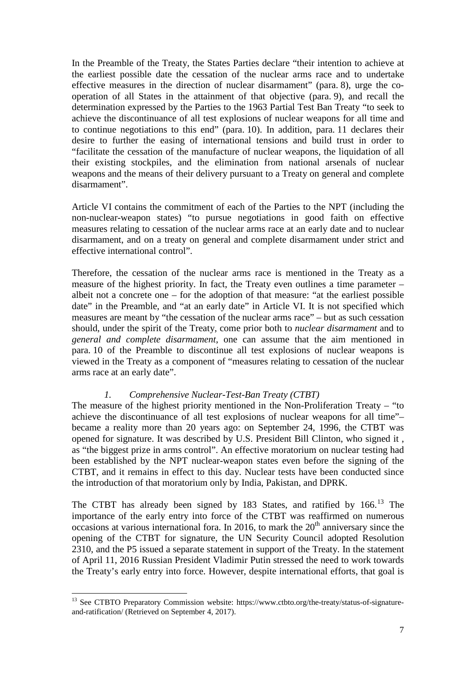In the Preamble of the Treaty, the States Parties declare "their intention to achieve at the earliest possible date the cessation of the nuclear arms race and to undertake effective measures in the direction of nuclear disarmament" (para. 8), urge the cooperation of all States in the attainment of that objective (para. 9), and recall the determination expressed by the Parties to the 1963 Partial Test Ban Treaty "to seek to achieve the discontinuance of all test explosions of nuclear weapons for all time and to continue negotiations to this end" (para. 10). In addition, para. 11 declares their desire to further the easing of international tensions and build trust in order to "facilitate the cessation of the manufacture of nuclear weapons, the liquidation of all their existing stockpiles, and the elimination from national arsenals of nuclear weapons and the means of their delivery pursuant to a Treaty on general and complete disarmament".

Article VI contains the commitment of each of the Parties to the NPT (including the non-nuclear-weapon states) "to pursue negotiations in good faith on effective measures relating to cessation of the nuclear arms race at an early date and to nuclear disarmament, and on a treaty on general and complete disarmament under strict and effective international control".

Therefore, the cessation of the nuclear arms race is mentioned in the Treaty as a measure of the highest priority. In fact, the Treaty even outlines a time parameter – albeit not a concrete one – for the adoption of that measure: "at the earliest possible date" in the Preamble, and "at an early date" in Article VI. It is not specified which measures are meant by "the cessation of the nuclear arms race" – but as such cessation should, under the spirit of the Treaty, come prior both to *nuclear disarmament* and to *general and complete disarmament*, one can assume that the aim mentioned in para. 10 of the Preamble to discontinue all test explosions of nuclear weapons is viewed in the Treaty as a component of "measures relating to cessation of the nuclear arms race at an early date".

### *1. Comprehensive Nuclear-Test-Ban Treaty (CTBT)*

The measure of the highest priority mentioned in the Non-Proliferation Treaty – "to achieve the discontinuance of all test explosions of nuclear weapons for all time"– became a reality more than 20 years ago: on September 24, 1996, the CTBT was opened for signature. It was described by U.S. President Bill Clinton, who signed it , as "the biggest prize in arms control". An effective moratorium on nuclear testing had been established by the NPT nuclear-weapon states even before the signing of the CTBT, and it remains in effect to this day. Nuclear tests have been conducted since the introduction of that moratorium only by India, Pakistan, and DPRK.

The CTBT has already been signed by 183 States, and ratified by 166.<sup>[13](#page-6-0)</sup> The importance of the early entry into force of the CTBT was reaffirmed on numerous occasions at various international fora. In 2016, to mark the  $20<sup>th</sup>$  anniversary since the opening of the CTBT for signature, the UN Security Council adopted Resolution 2310, and the P5 issued a separate statement in support of the Treaty. In the statement of April 11, 2016 Russian President Vladimir Putin stressed the need to work towards the Treaty's early entry into force. However, despite international efforts, that goal is

<span id="page-6-0"></span><sup>&</sup>lt;sup>13</sup> See CTBTO Preparatory Commission website: https://www.ctbto.org/the-treaty/status-of-signatureand-ratification/ (Retrieved on September 4, 2017).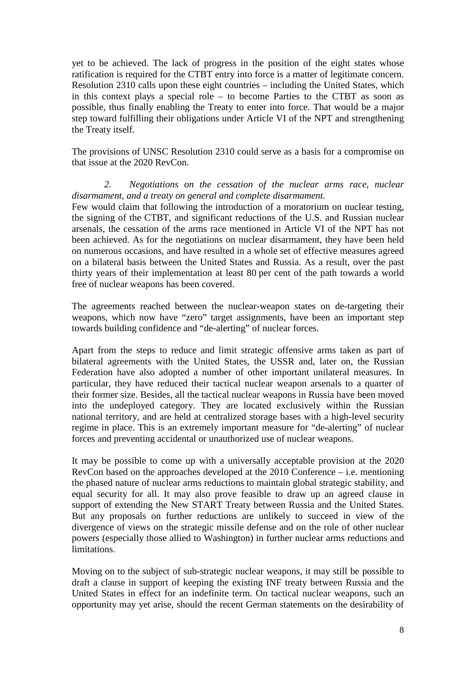yet to be achieved. The lack of progress in the position of the eight states whose ratification is required for the CTBT entry into force is a matter of legitimate concern. Resolution 2310 calls upon these eight countries – including the United States, which in this context plays a special role – to become Parties to the CTBT as soon as possible, thus finally enabling the Treaty to enter into force. That would be a major step toward fulfilling their obligations under Article VI of the NPT and strengthening the Treaty itself.

The provisions of UNSC Resolution 2310 could serve as a basis for a compromise on that issue at the 2020 RevCon.

*2. Negotiations on the cessation of the nuclear arms race, nuclear disarmament, and a treaty on general and complete disarmament.* 

Few would claim that following the introduction of a moratorium on nuclear testing, the signing of the CTBT, and significant reductions of the U.S. and Russian nuclear arsenals, the cessation of the arms race mentioned in Article VI of the NPT has not been achieved. As for the negotiations on nuclear disarmament, they have been held on numerous occasions, and have resulted in a whole set of effective measures agreed on a bilateral basis between the United States and Russia. As a result, over the past thirty years of their implementation at least 80 per cent of the path towards a world free of nuclear weapons has been covered.

The agreements reached between the nuclear-weapon states on de-targeting their weapons, which now have "zero" target assignments, have been an important step towards building confidence and "de-alerting" of nuclear forces.

Apart from the steps to reduce and limit strategic offensive arms taken as part of bilateral agreements with the United States, the USSR and, later on, the Russian Federation have also adopted a number of other important unilateral measures. In particular, they have reduced their tactical nuclear weapon arsenals to a quarter of their former size. Besides, all the tactical nuclear weapons in Russia have been moved into the undeployed category. They are located exclusively within the Russian national territory, and are held at centralized storage bases with a high-level security regime in place. This is an extremely important measure for "de-alerting" of nuclear forces and preventing accidental or unauthorized use of nuclear weapons.

It may be possible to come up with a universally acceptable provision at the 2020 RevCon based on the approaches developed at the 2010 Conference – i.e. mentioning the phased nature of nuclear arms reductions to maintain global strategic stability, and equal security for all. It may also prove feasible to draw up an agreed clause in support of extending the New START Treaty between Russia and the United States. But any proposals on further reductions are unlikely to succeed in view of the divergence of views on the strategic missile defense and on the role of other nuclear powers (especially those allied to Washington) in further nuclear arms reductions and limitations.

Moving on to the subject of sub-strategic nuclear weapons, it may still be possible to draft a clause in support of keeping the existing INF treaty between Russia and the United States in effect for an indefinite term. On tactical nuclear weapons, such an opportunity may yet arise, should the recent German statements on the desirability of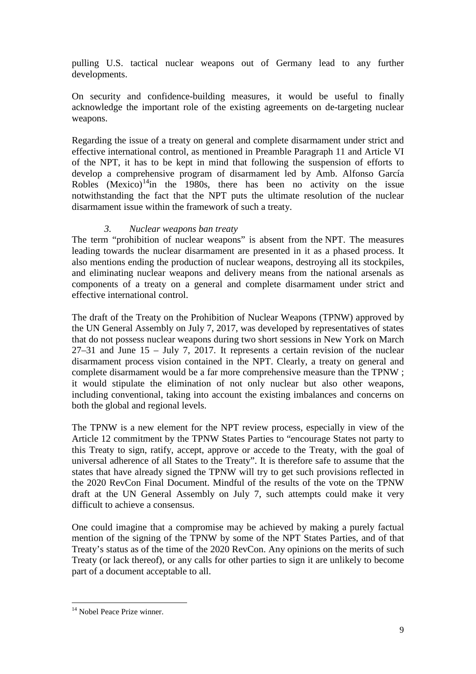pulling U.S. tactical nuclear weapons out of Germany lead to any further developments.

On security and confidence-building measures, it would be useful to finally acknowledge the important role of the existing agreements on de-targeting nuclear weapons.

Regarding the issue of a treaty on general and complete disarmament under strict and effective international control, as mentioned in Preamble Paragraph 11 and Article VI of the NPT, it has to be kept in mind that following the suspension of efforts to develop a comprehensive program of disarmament led by Amb. Alfonso García Robles  $(Mexico)^{14}$ in the 1980s, there has been no activity on the issue notwithstanding the fact that the NPT puts the ultimate resolution of the nuclear disarmament issue within the framework of such a treaty.

#### *3. Nuclear weapons ban treaty*

The term "prohibition of nuclear weapons" is absent from the NPT. The measures leading towards the nuclear disarmament are presented in it as a phased process. It also mentions ending the production of nuclear weapons, destroying all its stockpiles, and eliminating nuclear weapons and delivery means from the national arsenals as components of a treaty on a general and complete disarmament under strict and effective international control.

The draft of the Treaty on the Prohibition of Nuclear Weapons (TPNW) approved by the UN General Assembly on July 7, 2017, was developed by representatives of states that do not possess nuclear weapons during two short sessions in New York on March 27–31 and June 15 – July 7, 2017. It represents a certain revision of the nuclear disarmament process vision contained in the NPT. Clearly, a treaty on general and complete disarmament would be a far more comprehensive measure than the TPNW ; it would stipulate the elimination of not only nuclear but also other weapons, including conventional, taking into account the existing imbalances and concerns on both the global and regional levels.

The TPNW is a new element for the NPT review process, especially in view of the Article 12 commitment by the TPNW States Parties to "encourage States not party to this Treaty to sign, ratify, accept, approve or accede to the Treaty, with the goal of universal adherence of all States to the Treaty". It is therefore safe to assume that the states that have already signed the TPNW will try to get such provisions reflected in the 2020 RevCon Final Document. Mindful of the results of the vote on the TPNW draft at the UN General Assembly on July 7, such attempts could make it very difficult to achieve a consensus.

One could imagine that a compromise may be achieved by making a purely factual mention of the signing of the TPNW by some of the NPT States Parties, and of that Treaty's status as of the time of the 2020 RevCon. Any opinions on the merits of such Treaty (or lack thereof), or any calls for other parties to sign it are unlikely to become part of a document acceptable to all.

<span id="page-8-0"></span><sup>&</sup>lt;sup>14</sup> Nobel Peace Prize winner.